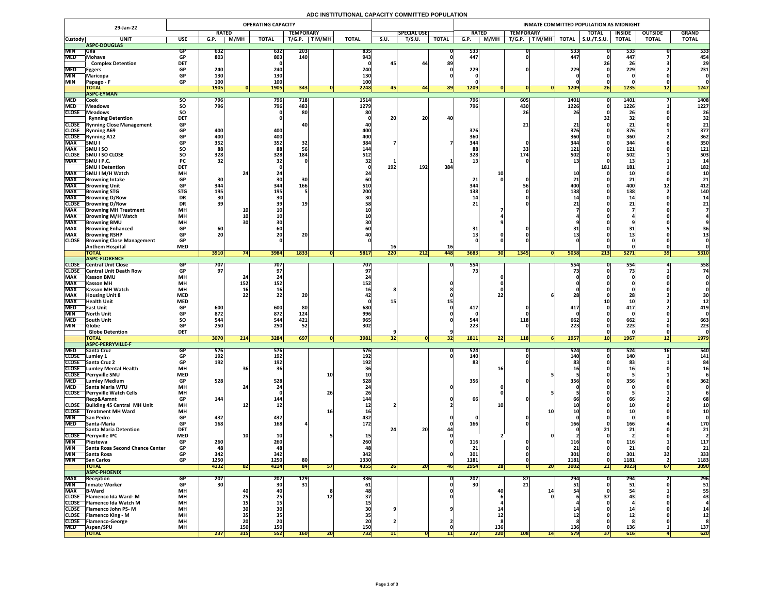# **ADC INSTITUTIONAL CAPACITY COMMITTED POPULATION**

|                            | 29-Jan-22                                                   | <b>OPERATING CAPACITY</b> |                   |                                                           |                 |                   |            |              |      | <b>INMATE COMMITTED POPULATION AS MIDNIGHT</b> |              |                 |             |                   |                                                          |                   |                     |                  |                |              |  |
|----------------------------|-------------------------------------------------------------|---------------------------|-------------------|-----------------------------------------------------------|-----------------|-------------------|------------|--------------|------|------------------------------------------------|--------------|-----------------|-------------|-------------------|----------------------------------------------------------|-------------------|---------------------|------------------|----------------|--------------|--|
|                            |                                                             |                           | <b>RATED</b>      |                                                           |                 | <b>TEMPORARY</b>  |            |              |      | <b>SPECIAL USE</b>                             |              | <b>RATED</b>    |             | <b>TEMPORARY</b>  |                                                          |                   | <b>TOTAL</b>        | <b>INSIDE</b>    | <b>OUTSIDE</b> | <b>GRAND</b> |  |
| <b>Custody</b>             | <b>UNIT</b>                                                 | <b>USE</b>                | G.P.              | <b>M/MH</b>                                               | <b>TOTAL</b>    | T/G.P.            | T M/MH     | <b>TOTAL</b> | S.U. | T/S.U.                                         | <b>TOTAL</b> | G.P.            | <b>M/MH</b> | T/G.P.            | $\overline{\mathsf{T}\mathsf{M}/\mathsf{M}\mathsf{H}}$ , | <b>TOTAL</b>      | $\vert$ S.U./T.S.U. | <b>TOTAL</b>     | <b>TOTAL</b>   | <b>TOTAL</b> |  |
|                            | ASPC-DOUGLAS                                                |                           |                   |                                                           |                 |                   |            |              |      |                                                |              |                 |             |                   |                                                          |                   |                     |                  |                |              |  |
| <b>MIN</b><br><b>MED</b>   | <b>Sila</b><br>Mohave                                       | GP<br><b>GP</b>           | <b>632</b><br>803 |                                                           | 632<br>803      | 203<br>140        |            | 835<br>943   |      |                                                |              | 533<br>447      |             |                   |                                                          | 533 <br>447       |                     | 533<br>447       |                | 533<br>454   |  |
|                            | <b>Complex Detention</b>                                    | <b>DET</b>                |                   |                                                           |                 |                   |            |              |      | 44                                             | 89           |                 |             |                   |                                                          |                   | ZDI                 | <b>26</b>        |                | 29           |  |
| <b>MED</b>                 | <b>Eggers</b>                                               | <b>GP</b>                 | 240               |                                                           | 240             |                   |            | 240          |      |                                                |              | 229             |             |                   |                                                          | 229               |                     | 229              |                | 231          |  |
| <b>MIN</b>                 | Maricopa                                                    | <b>GP</b>                 | 130               |                                                           | 130             |                   |            | 130          |      |                                                |              |                 |             |                   |                                                          |                   |                     |                  |                |              |  |
| <b>MIN</b>                 | Papago - F                                                  | <b>GP</b>                 | <b>100</b>        |                                                           | 100             |                   |            | 100          |      |                                                |              |                 |             |                   |                                                          |                   |                     |                  |                |              |  |
|                            | <b>TOTAL</b><br><b>ASPC-EYMAN</b>                           |                           | <b>1905</b>       |                                                           | <b>1905</b>     | 343               |            | 2248         |      | 441                                            | <b>891</b>   | 1209            |             |                   |                                                          | <b>1209</b>       | <b>Zb</b>           | <b>1235</b>      | L              | 1247         |  |
| <b>MED</b>                 | Cook                                                        | SO.                       | 796               |                                                           | <b>796</b>      | 718               |            | 1514         |      |                                                |              | 796             |             | $\vert 605 \vert$ |                                                          | <b>1401</b>       |                     | 1401             |                | 1408         |  |
| <b>MED</b>                 | <b>Meadows</b>                                              | <b>SO</b>                 | 796               |                                                           | 796             | 483               |            | 1279         |      |                                                |              | 796             |             | 430               |                                                          | 1226              |                     | 1226             |                | 1227         |  |
| <b>CLOSE</b>               | Meadows                                                     | SO                        |                   |                                                           |                 | 80                |            | 80           |      |                                                |              |                 |             | 26                |                                                          |                   |                     | 26               |                | 26           |  |
|                            | <b>Rynning Detention</b>                                    | <b>DET</b>                |                   |                                                           |                 |                   |            |              | 20   | 20                                             | 40           |                 |             |                   |                                                          |                   |                     | 32               |                | 32           |  |
| <b>CLOSE</b>               | <b>CLOSE</b> Rynning Close Management<br><b>Rynning A69</b> | <b>GP</b><br><b>GP</b>    | 400               |                                                           | 400             |                   |            | 400          |      |                                                |              | 376             |             | 21 <sub>1</sub>   |                                                          | <b>376</b>        |                     | 376              |                | 21<br>377    |  |
| <b>CLOSE</b>               | <b>Rynning A12</b>                                          | <b>GP</b>                 | 400               |                                                           | 400             |                   |            | 400          |      |                                                |              | 360             |             |                   |                                                          | 360               |                     | 360              |                | 362          |  |
| <b>MAX</b>                 | <b>SMU</b>                                                  | <b>GP</b>                 | 352               |                                                           | 352             | 32                |            | 384          |      |                                                |              | 344             |             |                   |                                                          | 344               |                     | 344              |                | 350          |  |
| <b>MAX</b>                 | <b>SMUISO</b>                                               | SO                        | 88                |                                                           | 88              |                   |            | 144          |      |                                                |              | 88              |             | 33                |                                                          | 121               |                     | 121              |                | 121          |  |
| <b>CLOSE</b>               | <b>SMU I SO CLOSE</b>                                       | <b>SO</b>                 | 328               |                                                           | 328             | 184               |            | 512          |      |                                                |              | 328             |             | 174               |                                                          | <b>502</b>        |                     | 502              |                | 503          |  |
| <b>MAX</b>                 | SMU I P.C.                                                  | <b>PC</b>                 | 32                |                                                           |                 |                   |            |              |      | 192                                            |              |                 |             |                   |                                                          |                   |                     | ᅩJ               |                |              |  |
| <b>MAX</b>                 | <b>SMU I Detention</b><br> SMU I M/H Watch                  | <b>DET</b><br><b>MH</b>   |                   |                                                           |                 |                   |            |              | 192  |                                                | 384          |                 |             |                   |                                                          |                   | <b>181</b>          | 181              |                | 182          |  |
| <b>MAX</b>                 | <b>Browning Intake</b>                                      | <b>GP</b>                 | 30                |                                                           |                 |                   |            |              |      |                                                |              | 21              |             |                   |                                                          |                   |                     | 21               |                | 21           |  |
| <b>MAX</b>                 | <b>Browning Unit</b>                                        | <b>GP</b>                 | 344               |                                                           | 344             | 166               |            | 510          |      |                                                |              | 344             |             |                   |                                                          | <b>400</b>        |                     | 400              | ┻┻             | 412          |  |
| <b>MAX</b>                 | <b>Browning STG</b>                                         | <b>STG</b>                | <b>195</b>        |                                                           | 195             |                   |            | 200          |      |                                                |              | 138             |             |                   |                                                          | 138               |                     | 138              |                | 140          |  |
| <b>MAX</b>                 | <b>Browning D/Row</b>                                       | <b>DR</b>                 |                   |                                                           |                 |                   |            |              |      |                                                |              |                 |             |                   |                                                          |                   |                     | <b>1</b>         |                |              |  |
| <b>CLOSE</b><br><b>MAX</b> | <b>Browning D/Row</b><br><b>Browning MH Treatment</b>       | <b>DR</b><br><b>MH</b>    | 39                | <b>10</b>                                                 |                 | 19                |            |              |      |                                                |              | 21              |             |                   |                                                          |                   |                     |                  |                |              |  |
| <b>MAX</b>                 | <b>Browning M/H Watch</b>                                   | <b>MH</b>                 |                   |                                                           |                 |                   |            |              |      |                                                |              |                 |             |                   |                                                          |                   |                     |                  |                |              |  |
| <b>MAX</b>                 | <b>Browning BMU</b>                                         | <b>MH</b>                 |                   |                                                           |                 |                   |            |              |      |                                                |              |                 |             |                   |                                                          |                   |                     |                  |                |              |  |
| <b>MAX</b>                 | <b>Browning Enhanced</b>                                    | <b>GP</b>                 | 60 <sub>1</sub>   |                                                           |                 |                   |            |              |      |                                                |              | 31              |             |                   |                                                          |                   |                     |                  |                |              |  |
| <b>MAX</b>                 | <b>Browning RSHP</b>                                        | <b>GP</b>                 | 20                |                                                           | ZU              | nn.<br><b>ZUI</b> |            |              |      |                                                |              |                 |             |                   |                                                          |                   |                     |                  |                |              |  |
| <b>CLOSE</b>               | <b>Browning Close Management</b><br><b>Anthem Hospital</b>  | <b>GP</b><br><b>MED</b>   |                   |                                                           |                 |                   |            |              |      |                                                | <b>16</b>    |                 |             |                   |                                                          |                   |                     |                  |                |              |  |
|                            | <b>TOTAL</b>                                                |                           | 3910              |                                                           | 3984            | 1833              |            | <b>5817</b>  | 220  | 212                                            | <b>448</b>   | 3683            | <b>30 </b>  | 1345              |                                                          | 5058              | 213                 | 5271             | 391            | 5310         |  |
|                            | <b>TASPC-FLORENCE</b>                                       |                           |                   |                                                           |                 |                   |            |              |      |                                                |              |                 |             |                   |                                                          |                   |                     |                  |                |              |  |
| <b>CLOSE</b>               | <b>Central Unit Close</b>                                   |                           | 707               |                                                           | 707             |                   |            | 707          |      |                                                |              | 554             |             |                   |                                                          | 554               |                     | 554              |                | 558          |  |
| <b>MAX</b>                 | <b>CLOSE</b> Central Unit Death Row<br><b>Kasson BMU</b>    | <b>MH</b>                 | 97 <sub>1</sub>   |                                                           |                 |                   |            |              |      |                                                |              | 73              |             |                   |                                                          |                   |                     |                  |                | 74           |  |
| <b>MAX</b>                 | <b>Kasson MH</b>                                            | <b>MH</b>                 |                   | 152                                                       | 152             |                   |            | 152          |      |                                                |              |                 |             |                   |                                                          |                   |                     |                  |                |              |  |
| <b>MAX</b>                 | <b>Kasson MH Watch</b>                                      | <b>MH</b>                 |                   | <b>16</b>                                                 |                 |                   |            |              |      |                                                |              |                 |             |                   |                                                          |                   |                     |                  |                |              |  |
| <b>MAX</b>                 | <b>Housing Unit 8</b>                                       | <b>MED</b>                |                   |                                                           |                 | 96                |            |              |      |                                                |              |                 |             |                   |                                                          |                   |                     |                  |                | <b>30</b>    |  |
| <b>MAX</b>                 | <b>Health Unit</b>                                          | <b>MED</b>                |                   |                                                           |                 |                   |            |              |      |                                                |              |                 |             |                   |                                                          |                   |                     |                  |                |              |  |
| <b>MED</b>                 | <b>East Unit</b>                                            | <b>GP</b>                 | 600               |                                                           | 600             | 80                |            | 680          |      |                                                |              | 417             |             |                   |                                                          | 417               |                     | 417              |                | 419          |  |
| <b>MIN</b><br><b>MED</b>   | <b>North Unit</b><br><b>South Unit</b>                      | <b>SO</b>                 | 872<br>544        |                                                           | 872<br>544      | 124<br>421        |            | 996<br>965   |      |                                                |              | 544             |             | <b>118</b>        |                                                          | 662               |                     | 662              |                | 663          |  |
| <b>MIN</b>                 | <b>Globe</b>                                                |                           | 250               |                                                           | 250             | 52                |            | 302          |      |                                                |              | 223             |             |                   |                                                          | 223               |                     | 223              |                | 223          |  |
|                            | <b>Globe Detention</b>                                      | <b>DET</b>                |                   |                                                           |                 |                   |            |              |      |                                                |              |                 |             |                   |                                                          |                   |                     |                  |                |              |  |
|                            | <b>TOTAL</b>                                                |                           | 3070              | $\begin{array}{c} \n \textbf{311} \n \end{array}$<br> Z14 | 3284            | 697               |            | 3981         | 32   |                                                | [32]         | <b>1811</b>     | 991<br> 22  | <b>118</b>        |                                                          | 1957              | <b>10</b>           | <b>1967</b>      | 12             | <b>1979</b>  |  |
| <b>MED</b>                 | <b>ASPC-PERRYVILLE-F</b><br><b>Santa Cruz</b>               | GP                        | <b>576</b>        |                                                           | 576             |                   |            | <b>576</b>   |      |                                                |              | 524             |             |                   |                                                          | 524               |                     | 524              |                | 540          |  |
| <b>CLOSE</b>               | Lumley 1                                                    |                           | 192               |                                                           | 192             |                   |            | 192          |      |                                                |              | 140             |             |                   |                                                          | 140               |                     | 140              |                | 141          |  |
|                            | CLOSE Santa Cruz 2                                          | <b>GP</b>                 | 192               |                                                           | 192             |                   |            | 192          |      |                                                |              | 83              |             |                   |                                                          |                   |                     | 83               |                |              |  |
| <b>CLOSE</b>               | Lumley Mental Health                                        | <b>MH</b>                 |                   |                                                           |                 |                   |            |              |      |                                                |              |                 |             |                   |                                                          |                   |                     |                  |                |              |  |
| <b>CLOSE</b>               | <b>Perryville SNU</b>                                       | <b>MED</b>                |                   |                                                           |                 |                   | <b>10</b>  |              |      |                                                |              |                 |             |                   |                                                          |                   |                     |                  |                |              |  |
| <b>MED</b><br><b>MED</b>   | <b>Lumley Medium</b><br><b>Santa Maria WTU</b>              | <b>GP</b><br><b>MH</b>    | 528               |                                                           | 528             |                   |            | 528          |      |                                                |              | 356             |             |                   |                                                          | 356               |                     | 356              |                | 362          |  |
| <b>CLOSE</b>               | <b>Perryville Watch Cells</b>                               | <b>MH</b>                 |                   |                                                           |                 |                   | 26         |              |      |                                                |              |                 |             |                   |                                                          |                   |                     |                  |                |              |  |
|                            | Recp&Asmnt                                                  | <b>GP</b>                 | 144               |                                                           | 144             |                   |            | 144          |      |                                                |              | 66              |             |                   |                                                          |                   |                     | <b>6t</b>        |                | 68           |  |
|                            | CLOSE Building 45 Central MH Unit                           | <b>MH</b>                 |                   |                                                           | TV.             |                   |            |              |      |                                                |              |                 |             |                   |                                                          |                   |                     |                  |                |              |  |
| <b>CLOSE</b>               | Treatment MH Ward                                           | <b>MH</b>                 |                   |                                                           |                 |                   |            | <b>16</b>    |      |                                                |              |                 |             |                   |                                                          |                   |                     |                  |                |              |  |
| <b>MIN</b><br><b>MED</b>   | <b>San Pedro</b><br><b>Santa-Maria</b>                      | <b>GP</b><br><b>GP</b>    | 432<br>168        |                                                           | 432<br>168      |                   |            | 432<br>172   |      |                                                |              | 166             |             |                   |                                                          |                   |                     | 166              |                | 170          |  |
|                            | Santa Maria Detention                                       | <b>DET</b>                |                   |                                                           |                 |                   |            |              |      | ിറ<br>ZU.                                      |              |                 |             |                   |                                                          |                   |                     | 21               |                | 21           |  |
| <b>CLOSE</b>               | <b>Perryville IPC</b>                                       | <b>MED</b>                |                   |                                                           |                 |                   |            |              |      |                                                |              |                 |             |                   |                                                          |                   |                     |                  |                |              |  |
| <b>MIN</b>                 | <b>Piestewa</b>                                             | <b>GP</b>                 | 260               |                                                           | 260             |                   |            |              |      |                                                |              | 116             |             |                   |                                                          | __                |                     | IH (6<br>$- - -$ |                | 117          |  |
| <b>MIN</b>                 | <b>Santa Rosa Second Chance Center</b>                      | <b>GP</b>                 | 48                |                                                           | 48              |                   |            | 48           |      |                                                |              | 21              |             |                   |                                                          | 91                |                     | 21               |                | 21           |  |
| <b>MIN</b><br><b>MIN</b>   | Santa Rosa<br><b>San Carlos</b>                             | <b>GP</b><br><b>GP</b>    | 342<br>1250       |                                                           | 342<br>1250     | 80                |            | 342<br>1330  |      |                                                |              | 301<br>1181     |             |                   |                                                          | 301<br>1181       |                     | 301<br>1181      |                | 333<br>1183  |  |
|                            | <b>TOTAL</b>                                                |                           | 4132              | 821                                                       | 4214            | 84                | 51         | 4355         | 26   | ZUI                                            | <b>46</b>    | 2954            | <b>28</b>   |                   | 20                                                       | 3002              | 21                  | 3023             | 671            | 3090         |  |
|                            | <b>ASPC-PHOENIX</b>                                         |                           |                   |                                                           |                 |                   |            |              |      |                                                |              |                 |             |                   |                                                          |                   |                     |                  |                |              |  |
| <b>MAX</b>                 | Reception                                                   | GP                        | <b>207</b>        |                                                           | 207             | <b>129</b>        |            | 336          |      |                                                |              | 207             |             | 87                |                                                          | 294'              |                     | 294              |                | 296          |  |
| <b>MIN</b>                 | <b>Inmate Worker</b>                                        | <b>GP</b>                 | 30                |                                                           | 30 <sup>°</sup> | 31                |            | 61           |      |                                                |              | 30 <sup>1</sup> |             | 21                |                                                          |                   |                     |                  |                | 51           |  |
| <b>MAX</b>                 | <b>B-Ward</b><br>CLOSE   Flamenco Ida Ward-M                | <b>MH</b><br><b>MH</b>    |                   |                                                           |                 |                   |            |              |      |                                                |              |                 | 40          |                   |                                                          |                   |                     |                  |                | 55<br>43     |  |
|                            | CLOSE   Flamenco Ida Watch M                                | <b>MH</b>                 |                   |                                                           |                 |                   |            |              |      |                                                |              |                 |             |                   |                                                          |                   |                     |                  |                |              |  |
|                            | CLOSE   Flamenco John PS-M                                  | <b>MH</b>                 |                   |                                                           |                 |                   |            |              |      |                                                |              |                 |             |                   |                                                          |                   |                     |                  |                |              |  |
|                            | <b>CLOSE</b> Flamenco King - M                              | <b>MH</b>                 |                   |                                                           |                 |                   |            |              |      |                                                |              |                 |             |                   |                                                          |                   |                     |                  |                |              |  |
| <b>CLOSE</b>               | <b>Trlamenco-George</b>                                     | <b>MH</b>                 |                   | ZL                                                        | ZU              |                   |            |              |      |                                                |              |                 |             |                   |                                                          |                   |                     |                  |                |              |  |
| <b>MED</b>                 | <b>IAspen/SPU</b><br><b>TOTAL</b>                           | <b>MH</b>                 | 237               | <b>150</b><br>315                                         | 150<br>552      | <b>160</b>        | <b>ZUI</b> | 150<br>732   |      |                                                |              | 237             | 136<br>220  | <b>108</b>        | 14                                                       | 136<br><b>579</b> | <b>371</b>          | 136<br>616       |                | 137<br>620   |  |
|                            |                                                             |                           |                   |                                                           |                 |                   |            |              |      |                                                |              |                 |             |                   |                                                          |                   |                     |                  |                |              |  |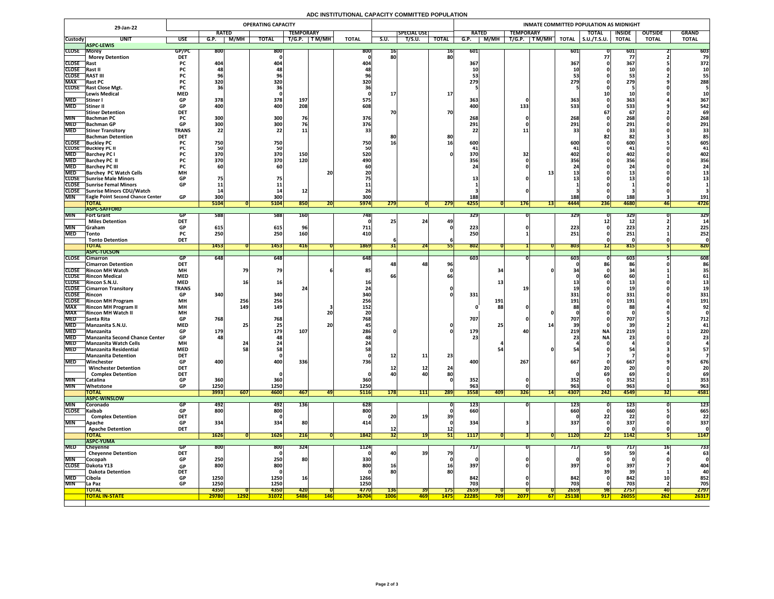# **ADC INSTITUTIONAL CAPACITY COMMITTED POPULATION**

|                          | 29-Jan-22                                                 |                          |                                |              | <b>OPERATING CAPACITY</b> |                  |            |              |             |                    |                 | INMATE COMMITTED POPULATION AS MIDNIGHT |                                |                    |                     |               |                |              |  |  |  |  |
|--------------------------|-----------------------------------------------------------|--------------------------|--------------------------------|--------------|---------------------------|------------------|------------|--------------|-------------|--------------------|-----------------|-----------------------------------------|--------------------------------|--------------------|---------------------|---------------|----------------|--------------|--|--|--|--|
|                          |                                                           |                          | <b>RATED</b>                   |              |                           | <b>TEMPORARY</b> |            |              |             | <b>SPECIAL USE</b> |                 | <b>RATED</b>                            | <b>TEMPORARY</b>               |                    | <b>TOTAL</b>        | <b>INSIDE</b> | <b>OUTSIDE</b> | <b>GRAND</b> |  |  |  |  |
| <b>Custody</b>           | <b>UNIT</b>                                               | <b>USE</b>               | G.P.                           | M/MH         | <b>TOTAL</b>              | T/G.P.           | T M/MH     | <b>TOTAL</b> | <b>S.U.</b> | T/S.U.             | <b>TOTAL</b>    | M/MH<br>G.P.                            | T/G.P.<br>T M/MH               | <b>TOTAL</b>       | $\vert$ S.U./T.S.U. | <b>TOTAL</b>  | <b>TOTAL</b>   | <b>TOTAL</b> |  |  |  |  |
| <b>CLOSE Morey</b>       | <b>ASPC-LEWIS</b>                                         |                          |                                |              | 800                       |                  |            |              |             |                    |                 |                                         |                                |                    |                     |               |                | 603          |  |  |  |  |
|                          | <b>Morey Detention</b>                                    | GP/PC<br><b>DET</b>      | <b>800</b>                     |              |                           |                  |            | 800          | TP.<br>80   |                    | 16 <br>80       | 601                                     |                                | <b>601</b>         |                     | 601           |                | 79           |  |  |  |  |
| <b>CLOSE</b> Rast        |                                                           | <b>PC</b>                | 404                            |              | 404                       |                  |            | 404          |             |                    |                 | 367                                     |                                | 367                |                     | 367           |                | 372          |  |  |  |  |
| <b>CLOSE</b>             | Rast II                                                   |                          |                                |              |                           |                  |            |              |             |                    |                 |                                         |                                |                    |                     |               |                |              |  |  |  |  |
| <b>CLOSE</b>             | <b>RAST III</b>                                           | rc -                     |                                |              | 70                        |                  |            |              |             |                    |                 |                                         |                                |                    |                     |               |                | 55           |  |  |  |  |
| <b>MAX</b>               | <b>Rast PC</b>                                            | <b>PC</b>                | 320                            |              | 320                       |                  |            | 320          |             |                    |                 | 279                                     |                                | 279                |                     | 279           |                | 288          |  |  |  |  |
|                          | <b>CLOSE</b> Rast Close Mgt.<br>Lewis Medical             | <b>PC</b><br><b>MED</b>  |                                |              |                           |                  |            |              |             |                    | <b>17</b>       |                                         |                                |                    |                     |               |                |              |  |  |  |  |
| <b>MED</b>               | <b>Stiner</b> I                                           | <b>GP</b>                | 378                            |              | 378                       | 197              |            | 575          |             |                    |                 | 363                                     |                                | 363                |                     | 363           |                | 367          |  |  |  |  |
| <b>MED</b>               | Stiner II                                                 | <b>GP</b>                | 400                            |              | 400                       | 208              |            | 608.         |             |                    |                 | 400                                     | 133                            | 533                |                     | 533           |                | 542          |  |  |  |  |
|                          | <b>Stiner Detention</b>                                   | <b>DET</b>               |                                |              |                           |                  |            |              | 70          |                    | 70              |                                         |                                |                    |                     | 67            |                | 69           |  |  |  |  |
| <b>MIN</b>               | <b>Bachman PC</b>                                         |                          | 300                            |              | 300                       | 76               |            | 376          |             |                    |                 | 268                                     |                                | 268                |                     | 268           |                | 268          |  |  |  |  |
|                          | MED Bachman GP                                            | GP.<br>VГ                | 300 <sub>l</sub><br><b>JUU</b> |              | 300                       |                  |            | 376          |             |                    |                 | 291<br><b>ZJI</b>                       |                                | 2011<br><b>LJT</b> |                     | 291           |                | 291          |  |  |  |  |
| <b>MED</b>               | <b>Stiner Transitory</b>                                  | <b>TRANS</b>             | 22                             |              | 22                        |                  |            |              |             |                    |                 |                                         |                                |                    |                     |               |                |              |  |  |  |  |
|                          | <b>Bachman Detention</b><br><b>CLOSE</b> Buckley PC       | <b>DET</b>               | 750                            |              | 750                       |                  |            | 750          | 8C<br>16    |                    | 80<br><b>16</b> | 600                                     |                                | 600                |                     | 82<br>600     |                | 605          |  |  |  |  |
|                          | <b>CLOSE</b> Buckley PC II                                |                          |                                |              | <b>50</b>                 |                  |            |              |             |                    |                 |                                         |                                |                    |                     |               |                | 41           |  |  |  |  |
| <b>MED</b>               | <b>Barchey PC I</b>                                       |                          | 370                            |              | 370                       | 150              |            | 520          |             |                    |                 | 370                                     |                                | 402                |                     | 402           |                | 402          |  |  |  |  |
| <b>MED</b>               | <b>Barchey PC II</b>                                      |                          | 370                            |              | 370                       | 120              |            | 490          |             |                    |                 | 356                                     |                                | <b>356</b>         |                     | 356           |                | 356          |  |  |  |  |
| <b>MED</b>               | <b>Barchey PC III</b>                                     |                          |                                |              | 60                        |                  |            |              |             |                    |                 |                                         |                                |                    |                     |               |                |              |  |  |  |  |
| <b>MED</b>               | <b>Barchey PC Watch Cells</b>                             | <b>MH</b>                |                                |              |                           |                  | 20         |              |             |                    |                 |                                         |                                |                    |                     |               |                |              |  |  |  |  |
|                          | CLOSE Sunrise Male Minors<br>CLOSE Sunrise Femal Minors   | <b>GP</b><br><b>GP</b>   |                                |              |                           |                  |            |              |             |                    |                 |                                         |                                |                    |                     |               |                |              |  |  |  |  |
|                          | CLOSE Sunrise Minors CDU/Watch                            |                          |                                |              |                           |                  |            |              |             |                    |                 |                                         |                                |                    |                     |               |                |              |  |  |  |  |
| <b>MIN</b>               | <b>TEagle Point Second Chance Center</b>                  | <b>GP</b>                | 300                            |              | 300                       |                  |            | 300          |             |                    |                 | 188                                     |                                | <b>188</b>         |                     | 188           |                | 191          |  |  |  |  |
|                          | <b>TOTAL</b>                                              |                          | 5104                           |              | 5104                      | 850              | ZU         | <b>5974</b>  | 279         |                    | 279             | 4255                                    | <b>176</b>                     | 4444<br><b>437</b> | 236                 | 4680          | 46             | 4726         |  |  |  |  |
|                          | <b>ASPC-SAFFORD</b>                                       |                          |                                |              |                           |                  |            |              |             |                    |                 |                                         |                                |                    |                     |               |                |              |  |  |  |  |
| <b>MIN</b>               | <b>Fort Grant</b>                                         | GP                       | 588                            |              | 588                       | <b>160</b>       |            | 748          |             |                    |                 | 329                                     |                                | 329                |                     | 329           |                | 329          |  |  |  |  |
| <b>MIN</b>               | <b>Miles Detention</b>                                    | <b>DET</b><br><b>GP</b>  | 615                            |              | 615                       |                  |            | 711          |             | 24                 | 49              | 223                                     |                                | 223                |                     | 223           |                | 225          |  |  |  |  |
| <b>MED</b>               | <b>Sanam</b><br><b>Tonto</b>                              | <b>PC</b>                | 250                            |              | 250                       | 160              |            | 410          |             |                    |                 | 250                                     |                                | 251                |                     | 251           |                | 252          |  |  |  |  |
|                          | <b>Tonto Detention</b>                                    | <b>DET</b>               |                                |              |                           |                  |            |              |             |                    |                 |                                         |                                |                    |                     |               |                |              |  |  |  |  |
|                          | <b>TOTAL</b>                                              |                          | 1453                           |              | <b>1453</b>               | 416              |            | 1869         |             | 24                 |                 | 802                                     |                                | 803                |                     | 815           |                | 820          |  |  |  |  |
|                          | <b>ASPC-TUCSON</b>                                        |                          |                                |              |                           |                  |            |              |             |                    |                 |                                         |                                |                    |                     |               |                |              |  |  |  |  |
|                          | CLOSE Cimarron                                            | GP.                      | 648                            |              | 648                       |                  |            | 648          |             | 48 <sub>1</sub>    | 96              | 603                                     |                                | 6031               |                     | 603           |                | 608<br>86    |  |  |  |  |
|                          | <b>Cimarron Detention</b><br><b>CLOSE</b> Rincon MH Watch | <b>DET</b><br><b>MH</b>  |                                |              | 79                        |                  |            | 85           |             |                    |                 | 34                                      |                                |                    |                     | 86            |                |              |  |  |  |  |
|                          | <b>CLOSE</b> Rincon Medical                               | <b>MED</b>               |                                |              |                           |                  |            |              |             |                    |                 |                                         |                                |                    |                     |               |                | 61           |  |  |  |  |
|                          | CLOSE Rincon S.N.U.                                       | <b>MED</b>               |                                |              | 16I                       |                  |            |              |             |                    |                 |                                         |                                |                    |                     |               |                |              |  |  |  |  |
|                          | <b>CLOSE</b> Cimarron Transitory                          | <b>TRANS</b>             |                                |              |                           |                  |            |              |             |                    |                 |                                         |                                |                    |                     |               |                |              |  |  |  |  |
| <b>CLOSE</b> Rincon      |                                                           | <b>GP</b>                | 340                            |              | 340                       |                  |            | <b>340</b>   |             |                    |                 | 331                                     |                                | 331                |                     | 331           |                | 331          |  |  |  |  |
|                          | <b>CLOSE</b> Rincon MH Program                            | <b>MH</b>                |                                | 256          | 256                       |                  |            | 256          |             |                    |                 | 191                                     |                                | 191                |                     | 191           |                | 191          |  |  |  |  |
| <b>MAX</b><br><b>MAX</b> | <b>Rincon MH Program II</b><br><b>Rincon MH Watch II</b>  | <b>MH</b><br><b>MH</b>   |                                | 149          | <b>149</b>                |                  | 20         | 152          |             |                    |                 | 88                                      |                                |                    |                     |               |                | 92           |  |  |  |  |
| <b>MED</b>               | <b>Santa Rita</b>                                         | <b>GP</b>                | 768                            |              | 768                       |                  |            | 768          |             |                    |                 | 707                                     |                                | 707                |                     | 707           |                | 712          |  |  |  |  |
| <b>MED</b>               | Manzanita S.N.U.                                          | <b>MED</b>               |                                |              | 25                        |                  | <b>20</b>  |              |             |                    |                 |                                         |                                |                    |                     | 39            |                | 41           |  |  |  |  |
| <b>MED</b>               | Manzanita                                                 | <b>GP</b>                | 179                            |              | 179                       | 107              |            | 286          |             |                    |                 | 179                                     |                                | 219                | <b>NA</b>           | 219           |                | 220          |  |  |  |  |
|                          | MED Manzanita Second Chance Center                        | <b>GP</b>                | 481                            |              | 48                        |                  |            |              |             |                    |                 | 23                                      |                                |                    | <b>NAI</b>          | <b>Z3</b>     |                | <b>Z3</b>    |  |  |  |  |
| <b>MED</b>               | <b>Manzanita Watch Cells</b>                              | <b>MH</b>                |                                |              |                           |                  |            |              |             |                    |                 |                                         |                                |                    |                     |               |                |              |  |  |  |  |
| <b>MED</b>               | Manzanita Residential                                     | <b>MED</b><br><b>DET</b> |                                |              | 58                        |                  |            |              | <b>12</b>   |                    |                 |                                         |                                |                    |                     |               |                |              |  |  |  |  |
| <b>MED</b>               | <b>Manzanita Detention</b><br>Winchester                  | <b>GP</b>                | 400                            |              | 400                       | 336              |            | <b>736</b>   |             | 11                 | 23              | 400                                     | 267                            | 667                |                     | 667           |                | 676          |  |  |  |  |
|                          | <b>Winchester Detention</b>                               | <b>DET</b>               |                                |              |                           |                  |            |              |             | <b>12</b>          | 24              |                                         |                                |                    |                     |               |                | 20           |  |  |  |  |
|                          | <b>Complex Detention</b>                                  | <b>DET</b>               |                                |              |                           |                  |            |              | 40          | 40                 | 80              |                                         |                                |                    |                     |               |                | 69           |  |  |  |  |
| <b>MIN</b>               | Catalina                                                  | <b>GP</b>                | 360                            |              | 360                       |                  |            | 360          |             |                    |                 | 352                                     |                                | 352                |                     | 352           |                | 353          |  |  |  |  |
| <b>MIN</b>               | Whetstone                                                 | <b>GP</b>                | 1250                           |              | 1250                      |                  |            | 1250         |             |                    |                 | 963                                     |                                | 963                |                     | 963           |                | 963          |  |  |  |  |
|                          | <b>TOTAL</b><br><b>ASPC-WINSLOW</b>                       |                          | 3993                           | 607          | <b>4600</b>               | 467              | 49         | <b>5116</b>  | 178         | 111                | 289             | 3558<br><b>409</b>                      | <b>326</b><br> 14              | 4307               | 242                 | 4549          | JZI            | 4581         |  |  |  |  |
| <b>MIN</b>               | <b>Coronado</b>                                           | GP.                      | 492                            |              | 492                       | 136              |            | 628          |             |                    |                 | <b>123</b>                              |                                | 123                |                     | 123           |                | 123          |  |  |  |  |
| CLOSE Kaibab             |                                                           | GP                       | 800                            |              | 800                       |                  |            | 800          |             |                    |                 | 660                                     |                                | 660                |                     | 660           |                | 665          |  |  |  |  |
|                          | <b>Complex Detention</b>                                  | <b>DET</b>               |                                |              |                           |                  |            |              | 20          |                    | 39              |                                         |                                |                    |                     |               |                | 22           |  |  |  |  |
| <b>MIN</b>               | <b>Apache</b>                                             | <b>GP</b>                | 334                            |              | 334                       | 80               |            | 414          |             |                    |                 | 334                                     |                                | 337                |                     | 337           |                | 337          |  |  |  |  |
|                          | <b>Apache Detention</b>                                   | <b>DET</b>               |                                |              |                           | 216              |            |              | 32          |                    | 12              |                                         |                                |                    |                     |               |                |              |  |  |  |  |
|                          | <b>TOTAL</b><br><b>ASPC-YUMA</b>                          |                          | <b>1626</b>                    |              | 1626                      |                  |            | 1842         |             |                    | <b>PTI</b>      | <b>1117</b>                             |                                | <b>1120</b>        | ZZ I                | <b>1142</b>   |                | 1147         |  |  |  |  |
| <b>MED</b>               | Cheyenne                                                  | GP                       | <b>800</b>                     |              | 800                       | 324              |            | 1124         |             |                    |                 | 717                                     |                                | 717                |                     | 7 T J         |                | 733          |  |  |  |  |
|                          | <b>Cheyenne Detention</b>                                 | <b>DET</b>               |                                |              |                           |                  |            |              | 40          | <b>39</b>          | 79              |                                         |                                |                    | 59                  | 59            |                | 63           |  |  |  |  |
| <b>MIN</b>               | Cocopah                                                   | <b>GP</b>                | 250                            |              | 250                       | <b>80</b>        |            | 330          |             |                    |                 |                                         |                                |                    |                     |               |                |              |  |  |  |  |
| <b>CLOSE</b>             | Dakota Y13                                                | <b>GP</b>                | 800                            |              | 800                       |                  |            | 800          | <b>16</b>   |                    | <b>16</b>       | 397                                     |                                | 397                |                     | 397           |                | 404          |  |  |  |  |
| <b>MED</b>               | <b>Dakota Detention</b><br>Cibola                         | <b>DET</b><br><b>GP</b>  | 1250                           |              | 1250                      | <b>16</b>        |            | 1266         | 80          |                    | 80              | 842                                     |                                | 842                |                     | 842           |                | 40<br>852    |  |  |  |  |
| <b>MIN</b>               | La Paz                                                    | <b>GP</b>                | 1250                           |              | 1250                      |                  |            | 1250         |             |                    |                 | 703                                     |                                | 703                |                     | 703           |                | 705          |  |  |  |  |
|                          | <b>TOTAL</b>                                              |                          | 4350                           |              | 4350                      | <b>420</b>       |            | 4770         | <b>136</b>  | <b>391</b>         | <b>175</b>      | 2659                                    |                                | 2659               | 98                  | 2757          | 40             | 2797         |  |  |  |  |
|                          | <b>TOTAL IN-STATE</b>                                     |                          | 29780                          | <u> 1292</u> | <b>31072</b>              | <b>5486</b>      | <b>146</b> | <b>36704</b> | <b>1006</b> | <u> 469  </u>      | <b>1475</b>     | 22285<br><b>709</b>                     | <b>2077</b><br>67 <sub>1</sub> | 25138              | 917                 | 26055         | 262            | 26317        |  |  |  |  |